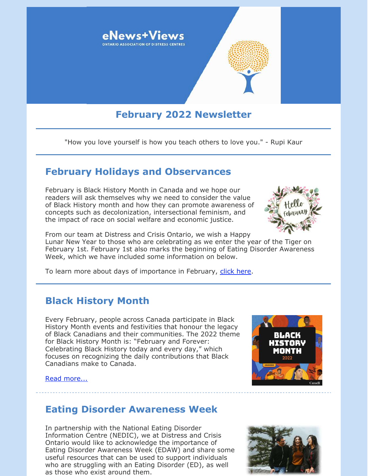

"How you love yourself is how you teach others to love you." - Rupi Kaur

## **February Holidays and Observances**

February is Black History Month in Canada and we hope our readers will ask themselves why we need to consider the value of Black History month and how they can promote awareness of concepts such as decolonization, intersectional feminism, and the impact of race on social welfare and economic justice.



From our team at Distress and Crisis Ontario, we wish a Happy Lunar New Year to those who are celebrating as we enter the year of the Tiger on February 1st. February 1st also marks the beginning of Eating Disorder Awareness Week, which we have included some information on below.

To learn more about days of importance in February, [click here](https://www.wincalendar.com/Calendar-Canada/February-2022).

## **Black History Month**

Every February, people across Canada participate in Black History Month events and festivities that honour the legacy of Black Canadians and their communities. The 2022 theme for Black History Month is: "February and Forever: Celebrating Black History today and every day," which focuses on recognizing the daily contributions that Black Canadians make to Canada.

#### [Read more...](https://files.constantcontact.com/0fb3237d001/fcf4bc09-3dbb-4e97-9c60-d6a631375d7c.pdf)



### **Eating Disorder Awareness Week**

In partnership with the National Eating Disorder Information Centre (NEDIC), we at Distress and Crisis Ontario would like to acknowledge the importance of Eating Disorder Awareness Week (EDAW) and share some useful resources that can be used to support individuals who are struggling with an Eating Disorder (ED), as well as those who exist around them.

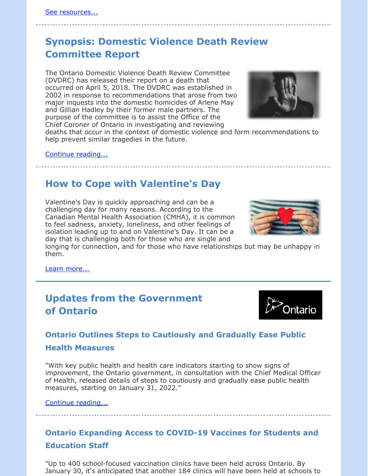# **Synopsis: Domestic Violence Death Review Committee Report**

The Ontario Domestic Violence Death Review Committee (DVDRC) has released their report on a death that occurred on April 5, 2018. The DVDRC was established in 2002 in response to recommendations that arose from two major inquests into the domestic homicides of Arlene May and Gillian Hadley by their former male partners. The purpose of the committee is to assist the Office of the Chief Coroner of Ontario in investigating and reviewing



deaths that occur in the context of domestic violence and form recommendations to help prevent similar tragedies in the future.

#### [Continue reading...](https://files.constantcontact.com/0fb3237d001/7a9621aa-c0b2-473e-ad2f-9fdd7a0b74b8.pdf)

## **How to Cope with Valentine's Day**

Valentine's Day is quickly approaching and can be a challenging day for many reasons. According to the Canadian Mental Health Association (CMHA), it is common to feel sadness, anxiety, loneliness, and other feelings of isolation leading up to and on Valentine's Day. It can be a day that is challenging both for those who are single and

longing for connection, and for those who have relationships but may be unhappy in them.

[Learn more...](https://files.constantcontact.com/0fb3237d001/46b7fec2-62b4-4efe-ac80-29ade5f1d806.pdf)

# **Updates from the Government of Ontario**



### **Ontario Outlines Steps to Cautiously and Gradually Ease Public**

#### **Health Measures**

"With key public health and health care indicators starting to show signs of improvement, the Ontario government, in consultation with the Chief Medical Officer of Health, released details of steps to cautiously and gradually ease public health measures, starting on January 31, 2022."

[Continue reading...](https://news.ontario.ca/en/release/1001451/ontario-outlines-steps-to-cautiously-and-gradually-ease-public-health-measures)

### **Ontario Expanding Access to COVID-19 Vaccines for Students and Education Staff**

"Up to 400 school-focused vaccination clinics have been held across Ontario. By January 30, it's anticipated that another 184 clinics will have been held at schools to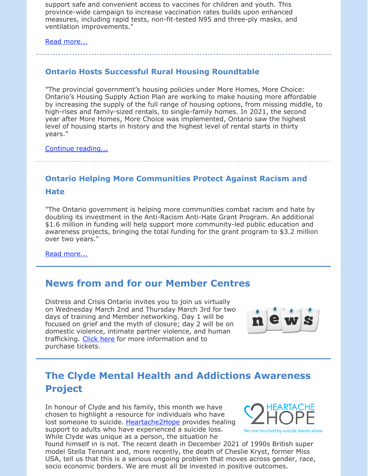support safe and convenient access to vaccines for children and youth. This province-wide campaign to increase vaccination rates builds upon enhanced measures, including rapid tests, non-fit-tested N95 and three-ply masks, and ventilation improvements."

[Read more...](https://news.ontario.ca/en/statement/1001460/ontario-expanding-access-to-covid-19-vaccines-for-students-and-education-staff)

### **Ontario Hosts Successful Rural Housing Roundtable**

"The provincial government's housing policies under More Homes, More Choice: Ontario's Housing Supply Action Plan are working to make housing more affordable by increasing the supply of the full range of housing options, from missing middle, to high-rises and family-sized rentals, to single-family homes. In 2021, the second year after More Homes, More Choice was implemented, Ontario saw the highest level of housing starts in history and the highest level of rental starts in thirty years."

[Continue reading...](https://news.ontario.ca/en/release/1001464/ontario-hosts-successful-rural-housing-roundtable)

### **Ontario Helping More Communities Protect Against Racism and**

#### **Hate**

"The Ontario government is helping more communities combat racism and hate by doubling its investment in the Anti-Racism Anti-Hate Grant Program. An additional \$1.6 million in funding will help support more community-led public education and awareness projects, bringing the total funding for the grant program to \$3.2 million over two years."

[Read more...](https://news.ontario.ca/en/release/1001500/ontario-helping-more-communities-protect-against-racism-and-hate)

### **News from and for our Member Centres**

Distress and Crisis Ontario invites you to join us virtually on Wednesday March 2nd and Thursday March 3rd for two days of training and Member networking. Day 1 will be focused on grief and the myth of closure; day 2 will be on domestic violence, intimate partner violence, and human trafficking. [Click here](https://www.eventbrite.com/e/annual-conference-two-days-of-training-and-member-networking-tickets-242967541457) for more information and to purchase tickets.



# **The Clyde Mental Health and Addictions Awareness Project**

In honour of Clyde and his family, this month we have chosen to highlight a resource for individuals who have lost someone to suicide. [Heartache2Hope](https://heartache2hope.com/) provides healing support to adults who have experienced a suicide loss. While Clyde was unique as a person, the situation he



found himself in is not. The recent death in December 2021 of 1990s British super model Stella Tennant and, more recently, the death of Cheslie Kryst, former Miss USA, tell us that this is a serious ongoing problem that moves across gender, race, socio economic borders. We are must all be invested in positive outcomes.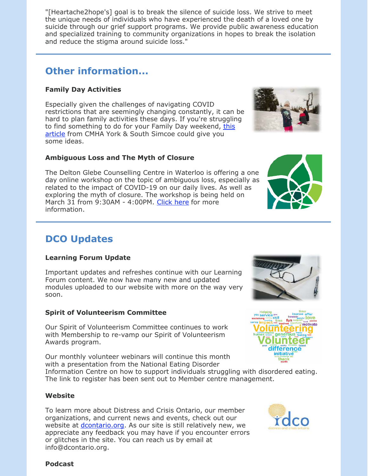"[Heartache2hope's] goal is to break the silence of suicide loss. We strive to meet the unique needs of individuals who have experienced the death of a loved one by suicide through our grief support programs. We provide public awareness education and specialized training to community organizations in hopes to break the isolation and reduce the stigma around suicide loss."

# **Other information...**

### **Family Day Activities**

Especially given the challenges of navigating COVID restrictions that are seemingly changing constantly, it can be hard to plan family activities these days. If you're struggling [to find something to do for your Family Day weekend, this](https://cmha-yr.on.ca/weekend-activities-to-keep-you-busy/) article from CMHA York & South Simcoe could give you some ideas.

### **Ambiguous Loss and The Myth of Closure**

The Delton Glebe Counselling Centre in Waterloo is offering a one day online workshop on the topic of ambiguous loss, especially as related to the impact of COVID-19 on our daily lives. As well as exploring the myth of closure. The workshop is being held on March 31 from 9:30AM - 4:00PM. [Click here](https://www.facebook.com/DeltonGlebeCentre/photos/a.217376338433939/1909787089192847/) for more information.

# **DCO Updates**

#### **Learning Forum Update**

Important updates and refreshes continue with our Learning Forum content. We now have many new and updated modules uploaded to our website with more on the way very soon.

### **Spirit of Volunteerism Committee**

Our Spirit of Volunteerism Committee continues to work with Membership to re-vamp our Spirit of Volunteerism Awards program.

Our monthly volunteer webinars will continue this month with a presentation from the National Eating Disorder

Information Centre on how to support individuals struggling with disordered eating. The link to register has been sent out to Member centre management.

#### **Website**

To learn more about Distress and Crisis Ontario, our member organizations, and current news and events, check out our website at *dcontario.org*. As our site is still relatively new, we appreciate any feedback you may have if you encounter errors or glitches in the site. You can reach us by email at info@dcontario.org.



thank